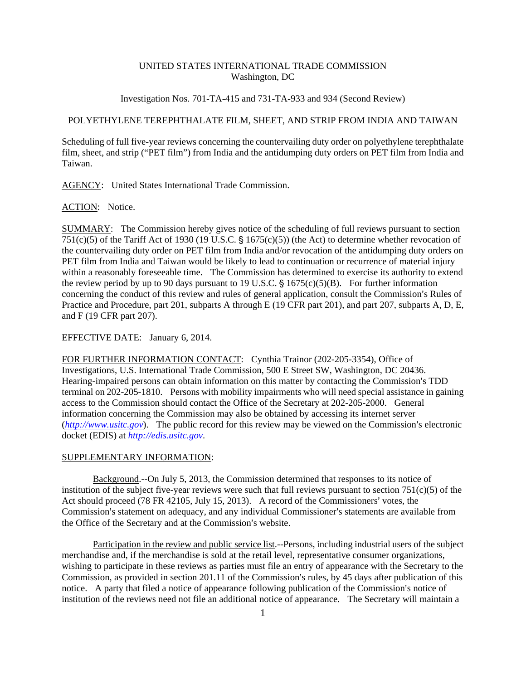## UNITED STATES INTERNATIONAL TRADE COMMISSION Washington, DC

Investigation Nos. 701-TA-415 and 731-TA-933 and 934 (Second Review)

## POLYETHYLENE TEREPHTHALATE FILM, SHEET, AND STRIP FROM INDIA AND TAIWAN

Scheduling of full five-year reviews concerning the countervailing duty order on polyethylene terephthalate film, sheet, and strip ("PET film") from India and the antidumping duty orders on PET film from India and Taiwan.

AGENCY: United States International Trade Commission.

ACTION: Notice.

SUMMARY: The Commission hereby gives notice of the scheduling of full reviews pursuant to section 751(c)(5) of the Tariff Act of 1930 (19 U.S.C.  $\frac{1}{5}$  1675(c)(5)) (the Act) to determine whether revocation of the countervailing duty order on PET film from India and/or revocation of the antidumping duty orders on PET film from India and Taiwan would be likely to lead to continuation or recurrence of material injury within a reasonably foreseeable time. The Commission has determined to exercise its authority to extend the review period by up to 90 days pursuant to 19 U.S.C.  $\S$  1675(c)(5)(B). For further information concerning the conduct of this review and rules of general application, consult the Commission's Rules of Practice and Procedure, part 201, subparts A through E (19 CFR part 201), and part 207, subparts A, D, E, and F (19 CFR part 207).

## EFFECTIVE DATE: January 6, 2014.

FOR FURTHER INFORMATION CONTACT: Cynthia Trainor (202-205-3354), Office of Investigations, U.S. International Trade Commission, 500 E Street SW, Washington, DC 20436. Hearing-impaired persons can obtain information on this matter by contacting the Commission's TDD terminal on 202-205-1810. Persons with mobility impairments who will need special assistance in gaining access to the Commission should contact the Office of the Secretary at 202-205-2000. General information concerning the Commission may also be obtained by accessing its internet server  $(htp://www.usitc.gov)$ . The public record for this review may be viewed on the Commission's electronic docket (EDIS) at *http://edis.usitc.gov*.

## SUPPLEMENTARY INFORMATION:

Background.--On July 5, 2013, the Commission determined that responses to its notice of institution of the subject five-year reviews were such that full reviews pursuant to section 751(c)(5) of the Act should proceed  $(78 FR 42105, July 15, 2013)$ . A record of the Commissioners' votes, the Commission's statement on adequacy, and any individual Commissioner's statements are available from the Office of the Secretary and at the Commission's website.

Participation in the review and public service list.--Persons, including industrial users of the subject merchandise and, if the merchandise is sold at the retail level, representative consumer organizations, wishing to participate in these reviews as parties must file an entry of appearance with the Secretary to the Commission, as provided in section  $201.11$  of the Commission's rules, by 45 days after publication of this notice. A party that filed a notice of appearance following publication of the Commission's notice of institution of the reviews need not file an additional notice of appearance. The Secretary will maintain a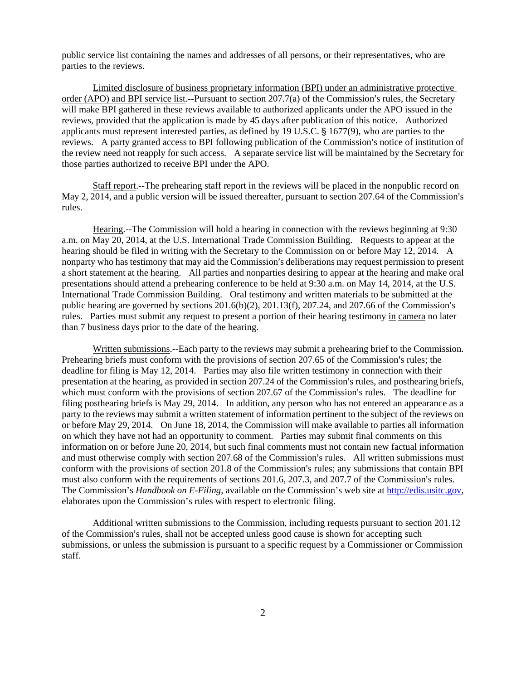public service list containing the names and addresses of all persons, or their representatives, who are parties to the reviews.

Limited disclosure of business proprietary information (BPI) under an administrative protective order (APO) and BPI service list.--Pursuant to section  $207.7(a)$  of the Commission's rules, the Secretary will make BPI gathered in these reviews available to authorized applicants under the APO issued in the reviews, provided that the application is made by 45 days after publication of this notice. Authorized applicants must represent interested parties, as defined by 19 U.S.C.  $\S$  1677(9), who are parties to the reviews. A party granted access to BPI following publication of the Commission's notice of institution of the review need not reapply for such access. A separate service list will be maintained by the Secretary for those parties authorized to receive BPI under the APO.

Staff report.--The prehearing staff report in the reviews will be placed in the nonpublic record on May 2, 2014, and a public version will be issued thereafter, pursuant to section 207.64 of the Commission's rules.

Hearing.--The Commission will hold a hearing in connection with the reviews beginning at 9:30 a.m. on May 20, 2014, at the U.S. International Trade Commission Building. Requests to appear at the hearing should be filed in writing with the Secretary to the Commission on or before May 12, 2014. A nonparty who has testimony that may aid the Commission's deliberations may request permission to present a short statement at the hearing. All parties and nonparties desiring to appear at the hearing and make oral presentations should attend a prehearing conference to be held at 9:30 a.m. on May 14, 2014, at the U.S. International Trade Commission Building. Oral testimony and written materials to be submitted at the public hearing are governed by sections  $201.6(b)(2)$ ,  $201.13(f)$ ,  $207.24$ , and  $207.66$  of the Commission's rules. Parties must submit any request to present a portion of their hearing testimony in camera no later than 7 business days prior to the date of the hearing.

Written submissions.--Each party to the reviews may submit a prehearing brief to the Commission. Prehearing briefs must conform with the provisions of section 207.65 of the Commission's rules; the deadline for filing is May 12, 2014. Parties may also file written testimony in connection with their presentation at the hearing, as provided in section 207.24 of the Commission's rules, and posthearing briefs, which must conform with the provisions of section 207.67 of the Commission's rules. The deadline for filing posthearing briefs is May 29, 2014. In addition, any person who has not entered an appearance as a party to the reviews may submit a written statement of information pertinent to the subject of the reviews on or before May 29, 2014. On June 18, 2014, the Commission will make available to parties all information on which they have not had an opportunity to comment. Parties may submit final comments on this information on or before June 20, 2014, but such final comments must not contain new factual information and must otherwise comply with section 207.68 of the Commission's rules. All written submissions must conform with the provisions of section 201.8 of the Commission's rules; any submissions that contain BPI must also conform with the requirements of sections  $201.6$ ,  $207.3$ , and  $207.7$  of the Commission's rules. The Commission's *Handbook on E-Filing*, available on the Commission's web site at http://edis.usitc.gov, elaborates upon the Commission's rules with respect to electronic filing.

Additional written submissions to the Commission, including requests pursuant to section 201.12 of the Commission's rules, shall not be accepted unless good cause is shown for accepting such submissions, or unless the submission is pursuant to a specific request by a Commissioner or Commission staff.